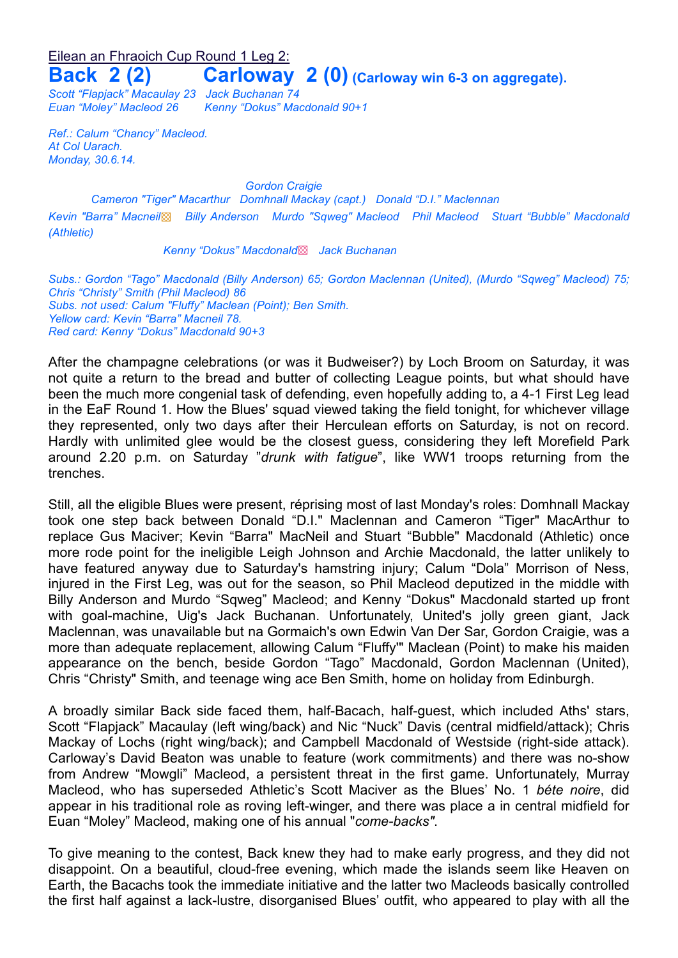Eilean an Fhraoich Cup Round 1 Leg 2:

**Back 2 (2) Carloway 2 (0) (Carloway win 6-3 on aggregate).**

*Scott "Flapjack" Macaulay 23 Jack Buchanan 74 Euan "Moley" Macleod 26 Kenny "Dokus" Macdonald 90+1*

*Ref.: Calum "Chancy" Macleod. At Col Uarach. Monday, 30.6.14.*

*Gordon Craigie*

*Cameron "Tiger" Macarthur Domhnall Mackay (capt.) Donald "D.I." Maclennan*

*Kevin "Barra" Macneil*▩ *Billy Anderson Murdo "Sqweg" Macleod Phil Macleod Stuart "Bubble" Macdonald (Athletic)*

*Kenny "Dokus" Macdonald*▩ *Jack Buchanan*

*Subs.: Gordon "Tago" Macdonald (Billy Anderson) 65; Gordon Maclennan (United), (Murdo "Sqweg" Macleod) 75; Chris "Christy" Smith (Phil Macleod) 86 Subs. not used: Calum "Fluffy" Maclean (Point); Ben Smith. Yellow card: Kevin "Barra" Macneil 78. Red card: Kenny "Dokus" Macdonald 90+3*

After the champagne celebrations (or was it Budweiser?) by Loch Broom on Saturday, it was not quite a return to the bread and butter of collecting League points, but what should have been the much more congenial task of defending, even hopefully adding to, a 4-1 First Leg lead in the EaF Round 1. How the Blues' squad viewed taking the field tonight, for whichever village they represented, only two days after their Herculean efforts on Saturday, is not on record. Hardly with unlimited glee would be the closest guess, considering they left Morefield Park around 2.20 p.m. on Saturday "*drunk with fatigue*", like WW1 troops returning from the trenches.

Still, all the eligible Blues were present, réprising most of last Monday's roles: Domhnall Mackay took one step back between Donald "D.I." Maclennan and Cameron "Tiger" MacArthur to replace Gus Maciver; Kevin "Barra" MacNeil and Stuart "Bubble" Macdonald (Athletic) once more rode point for the ineligible Leigh Johnson and Archie Macdonald, the latter unlikely to have featured anyway due to Saturday's hamstring injury; Calum "Dola" Morrison of Ness, injured in the First Leg, was out for the season, so Phil Macleod deputized in the middle with Billy Anderson and Murdo "Sqweg" Macleod; and Kenny "Dokus" Macdonald started up front with goal-machine, Uig's Jack Buchanan. Unfortunately, United's jolly green giant, Jack Maclennan, was unavailable but na Gormaich's own Edwin Van Der Sar, Gordon Craigie, was a more than adequate replacement, allowing Calum "Fluffy'" Maclean (Point) to make his maiden appearance on the bench, beside Gordon "Tago" Macdonald, Gordon Maclennan (United), Chris "Christy" Smith, and teenage wing ace Ben Smith, home on holiday from Edinburgh.

A broadly similar Back side faced them, half-Bacach, half-guest, which included Aths' stars, Scott "Flapjack" Macaulay (left wing/back) and Nic "Nuck" Davis (central midfield/attack); Chris Mackay of Lochs (right wing/back); and Campbell Macdonald of Westside (right-side attack). Carloway's David Beaton was unable to feature (work commitments) and there was no-show from Andrew "Mowgli" Macleod, a persistent threat in the first game. Unfortunately, Murray Macleod, who has superseded Athletic's Scott Maciver as the Blues' No. 1 *béte noire*, did appear in his traditional role as roving left-winger, and there was place a in central midfield for Euan "Moley" Macleod, making one of his annual "*come-backs"*.

To give meaning to the contest, Back knew they had to make early progress, and they did not disappoint. On a beautiful, cloud-free evening, which made the islands seem like Heaven on Earth, the Bacachs took the immediate initiative and the latter two Macleods basically controlled the first half against a lack-lustre, disorganised Blues' outfit, who appeared to play with all the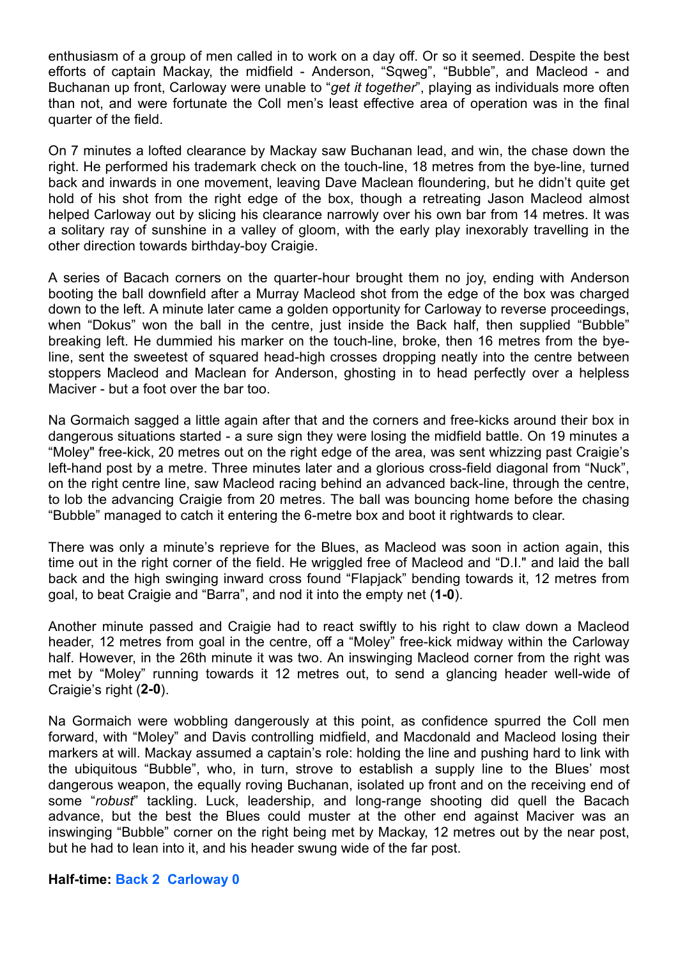enthusiasm of a group of men called in to work on a day off. Or so it seemed. Despite the best efforts of captain Mackay, the midfield - Anderson, "Sqweg", "Bubble", and Macleod - and Buchanan up front, Carloway were unable to "*get it together*", playing as individuals more often than not, and were fortunate the Coll men's least effective area of operation was in the final quarter of the field.

On 7 minutes a lofted clearance by Mackay saw Buchanan lead, and win, the chase down the right. He performed his trademark check on the touch-line, 18 metres from the bye-line, turned back and inwards in one movement, leaving Dave Maclean floundering, but he didn't quite get hold of his shot from the right edge of the box, though a retreating Jason Macleod almost helped Carloway out by slicing his clearance narrowly over his own bar from 14 metres. It was a solitary ray of sunshine in a valley of gloom, with the early play inexorably travelling in the other direction towards birthday-boy Craigie.

A series of Bacach corners on the quarter-hour brought them no joy, ending with Anderson booting the ball downfield after a Murray Macleod shot from the edge of the box was charged down to the left. A minute later came a golden opportunity for Carloway to reverse proceedings, when "Dokus" won the ball in the centre, just inside the Back half, then supplied "Bubble" breaking left. He dummied his marker on the touch-line, broke, then 16 metres from the byeline, sent the sweetest of squared head-high crosses dropping neatly into the centre between stoppers Macleod and Maclean for Anderson, ghosting in to head perfectly over a helpless Maciver - but a foot over the bar too.

Na Gormaich sagged a little again after that and the corners and free-kicks around their box in dangerous situations started - a sure sign they were losing the midfield battle. On 19 minutes a "Moley" free-kick, 20 metres out on the right edge of the area, was sent whizzing past Craigie's left-hand post by a metre. Three minutes later and a glorious cross-field diagonal from "Nuck", on the right centre line, saw Macleod racing behind an advanced back-line, through the centre, to lob the advancing Craigie from 20 metres. The ball was bouncing home before the chasing "Bubble" managed to catch it entering the 6-metre box and boot it rightwards to clear.

There was only a minute's reprieve for the Blues, as Macleod was soon in action again, this time out in the right corner of the field. He wriggled free of Macleod and "D.I." and laid the ball back and the high swinging inward cross found "Flapjack" bending towards it, 12 metres from goal, to beat Craigie and "Barra", and nod it into the empty net (**1-0**).

Another minute passed and Craigie had to react swiftly to his right to claw down a Macleod header, 12 metres from goal in the centre, off a "Moley" free-kick midway within the Carloway half. However, in the 26th minute it was two. An inswinging Macleod corner from the right was met by "Moley" running towards it 12 metres out, to send a glancing header well-wide of Craigie's right (**2-0**).

Na Gormaich were wobbling dangerously at this point, as confidence spurred the Coll men forward, with "Moley" and Davis controlling midfield, and Macdonald and Macleod losing their markers at will. Mackay assumed a captain's role: holding the line and pushing hard to link with the ubiquitous "Bubble", who, in turn, strove to establish a supply line to the Blues' most dangerous weapon, the equally roving Buchanan, isolated up front and on the receiving end of some "*robust*" tackling. Luck, leadership, and long-range shooting did quell the Bacach advance, but the best the Blues could muster at the other end against Maciver was an inswinging "Bubble" corner on the right being met by Mackay, 12 metres out by the near post, but he had to lean into it, and his header swung wide of the far post.

## **Half-time: Back 2 Carloway 0**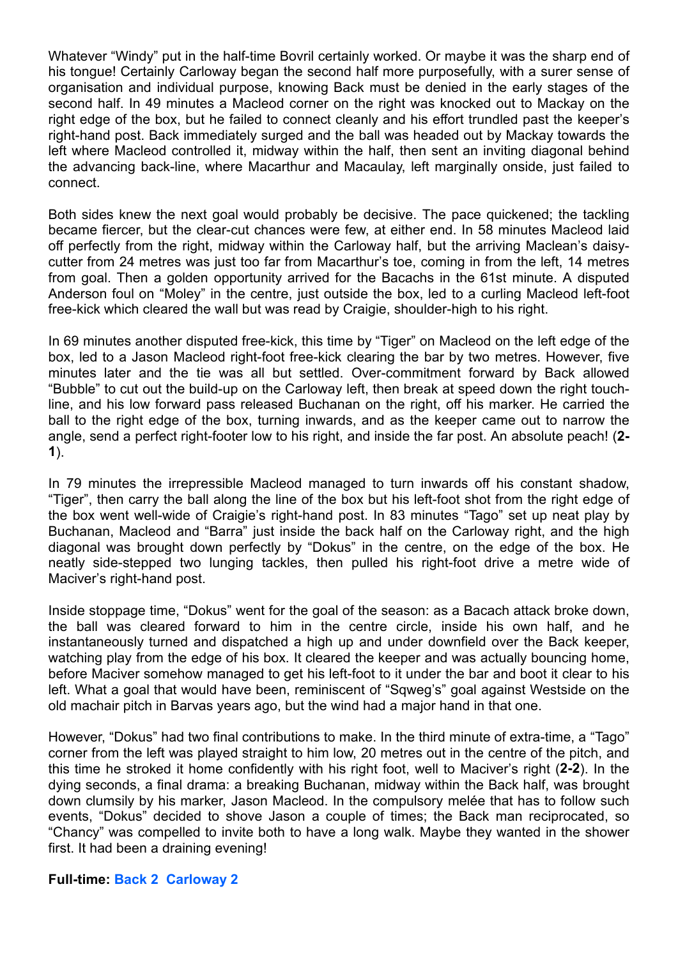Whatever "Windy" put in the half-time Bovril certainly worked. Or maybe it was the sharp end of his tongue! Certainly Carloway began the second half more purposefully, with a surer sense of organisation and individual purpose, knowing Back must be denied in the early stages of the second half. In 49 minutes a Macleod corner on the right was knocked out to Mackay on the right edge of the box, but he failed to connect cleanly and his effort trundled past the keeper's right-hand post. Back immediately surged and the ball was headed out by Mackay towards the left where Macleod controlled it, midway within the half, then sent an inviting diagonal behind the advancing back-line, where Macarthur and Macaulay, left marginally onside, just failed to connect.

Both sides knew the next goal would probably be decisive. The pace quickened; the tackling became fiercer, but the clear-cut chances were few, at either end. In 58 minutes Macleod laid off perfectly from the right, midway within the Carloway half, but the arriving Maclean's daisycutter from 24 metres was just too far from Macarthur's toe, coming in from the left, 14 metres from goal. Then a golden opportunity arrived for the Bacachs in the 61st minute. A disputed Anderson foul on "Moley" in the centre, just outside the box, led to a curling Macleod left-foot free-kick which cleared the wall but was read by Craigie, shoulder-high to his right.

In 69 minutes another disputed free-kick, this time by "Tiger" on Macleod on the left edge of the box, led to a Jason Macleod right-foot free-kick clearing the bar by two metres. However, five minutes later and the tie was all but settled. Over-commitment forward by Back allowed "Bubble" to cut out the build-up on the Carloway left, then break at speed down the right touchline, and his low forward pass released Buchanan on the right, off his marker. He carried the ball to the right edge of the box, turning inwards, and as the keeper came out to narrow the angle, send a perfect right-footer low to his right, and inside the far post. An absolute peach! (**2- 1**).

In 79 minutes the irrepressible Macleod managed to turn inwards off his constant shadow, "Tiger", then carry the ball along the line of the box but his left-foot shot from the right edge of the box went well-wide of Craigie's right-hand post. In 83 minutes "Tago" set up neat play by Buchanan, Macleod and "Barra" just inside the back half on the Carloway right, and the high diagonal was brought down perfectly by "Dokus" in the centre, on the edge of the box. He neatly side-stepped two lunging tackles, then pulled his right-foot drive a metre wide of Maciver's right-hand post.

Inside stoppage time, "Dokus" went for the goal of the season: as a Bacach attack broke down, the ball was cleared forward to him in the centre circle, inside his own half, and he instantaneously turned and dispatched a high up and under downfield over the Back keeper, watching play from the edge of his box. It cleared the keeper and was actually bouncing home, before Maciver somehow managed to get his left-foot to it under the bar and boot it clear to his left. What a goal that would have been, reminiscent of "Sqweg's" goal against Westside on the old machair pitch in Barvas years ago, but the wind had a major hand in that one.

However, "Dokus" had two final contributions to make. In the third minute of extra-time, a "Tago" corner from the left was played straight to him low, 20 metres out in the centre of the pitch, and this time he stroked it home confidently with his right foot, well to Maciver's right (**2-2**). In the dying seconds, a final drama: a breaking Buchanan, midway within the Back half, was brought down clumsily by his marker, Jason Macleod. In the compulsory melée that has to follow such events, "Dokus" decided to shove Jason a couple of times; the Back man reciprocated, so "Chancy" was compelled to invite both to have a long walk. Maybe they wanted in the shower first. It had been a draining evening!

## **Full-time: Back 2 Carloway 2**